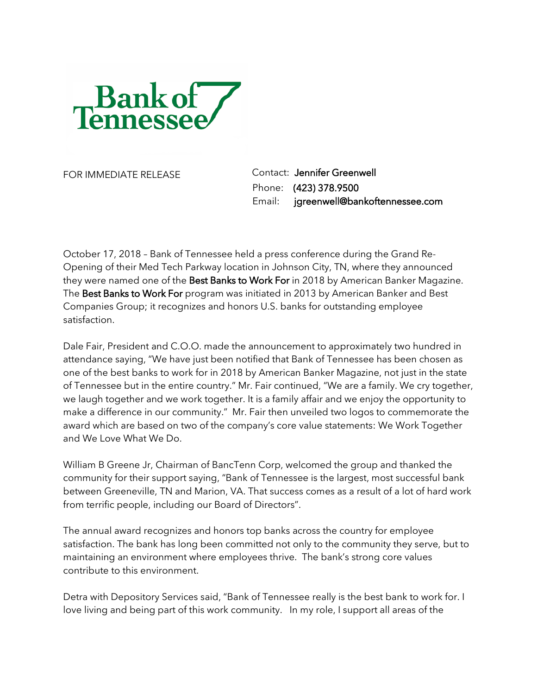

FOR IMMEDIATE RELEASE Contact: Jennifer Greenwell Phone: (423) 378.9500 Email: jgreenwell@bankoftennessee.com

October 17, 2018 – Bank of Tennessee held a press conference during the Grand Re-Opening of their Med Tech Parkway location in Johnson City, TN, where they announced they were named one of the Best Banks to Work For in 2018 by American Banker Magazine. The Best Banks to Work For program was initiated in 2013 by American Banker and Best Companies Group; it recognizes and honors U.S. banks for outstanding employee satisfaction.

Dale Fair, President and C.O.O. made the announcement to approximately two hundred in attendance saying, "We have just been notified that Bank of Tennessee has been chosen as one of the best banks to work for in 2018 by American Banker Magazine, not just in the state of Tennessee but in the entire country." Mr. Fair continued, "We are a family. We cry together, we laugh together and we work together. It is a family affair and we enjoy the opportunity to make a difference in our community." Mr. Fair then unveiled two logos to commemorate the award which are based on two of the company's core value statements: We Work Together and We Love What We Do.

William B Greene Jr, Chairman of BancTenn Corp, welcomed the group and thanked the community for their support saying, "Bank of Tennessee is the largest, most successful bank between Greeneville, TN and Marion, VA. That success comes as a result of a lot of hard work from terrific people, including our Board of Directors".

The annual award recognizes and honors top banks across the country for employee satisfaction. The bank has long been committed not only to the community they serve, but to maintaining an environment where employees thrive. The bank's strong core values contribute to this environment.

Detra with Depository Services said, "Bank of Tennessee really is the best bank to work for. I love living and being part of this work community. In my role, I support all areas of the